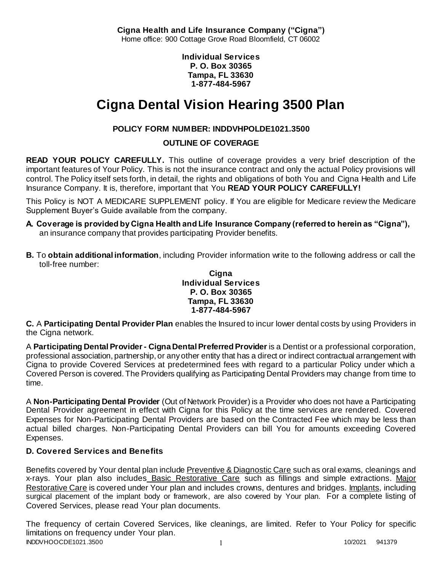**Cigna Health and Life Insurance Company ("Cigna")** Home office: 900 Cottage Grove Road Bloomfield, CT 06002

> **Individual Services P. O. Box 30365 Tampa, FL 33630 1-877-484-5967**

# **Cigna Dental Vision Hearing 3500 Plan**

# **POLICY FORM NUMBER: INDDVHPOLDE1021.3500**

**OUTLINE OF COVERAGE** 

**READ YOUR POLICY CAREFULLY.** This outline of coverage provides a very brief description of the important features of Your Policy. This is not the insurance contract and only the actual Policy provisions will control. The Policy itself sets forth, in detail, the rights and obligations of both You and Cigna Health and Life Insurance Company. It is, therefore, important that You **READ YOUR POLICY CAREFULLY!** 

This Policy is NOT A MEDICARE SUPPLEMENT policy. If You are eligible for Medicare review the Medicare Supplement Buyer's Guide available from the company.

- **A. Coverage is provided by Cigna Health and Life Insurance Company (referred to herein as "Cigna"),**  an insurance company that provides participating Provider benefits.
- **B.** To **obtain additional information**, including Provider information write to the following address or call the toll-free number:

**Cigna Individual Services P. O. Box 30365 Tampa, FL 33630 1-877-484-5967**

**C.** A **Participating Dental Provider Plan** enables the Insured to incur lower dental costs by using Providers in the Cigna network.

A **Participating Dental Provider - Cigna Dental Preferred Provider** is a Dentist or a professional corporation, professional association, partnership, or any other entity that has a direct or indirect contractual arrangement with Cigna to provide Covered Services at predetermined fees with regard to a particular Policy under which a Covered Person is covered. The Providers qualifying as Participating Dental Providers may change from time to time.

A **Non-Participating Dental Provider** (Out of Network Provider) is a Provider who does not have a Participating Dental Provider agreement in effect with Cigna for this Policy at the time services are rendered. Covered Expenses for Non-Participating Dental Providers are based on the Contracted Fee which may be less than actual billed charges. Non-Participating Dental Providers can bill You for amounts exceeding Covered Expenses.

# **D. Covered Services and Benefits**

Benefits covered by Your dental plan include Preventive & Diagnostic Care such as oral exams, cleanings and x-rays. Your plan also includes Basic Restorative Care such as fillings and simple extractions. Major Restorative Care is covered under Your plan and includes crowns, dentures and bridges. Implants, including surgical placement of the implant body or framework, are also covered by Your plan. For a complete listing of Covered Services, please read Your plan documents.

INDDVHOOCDE1021.3500 1 10/2021 941379 The frequency of certain Covered Services, like cleanings, are limited. Refer to Your Policy for specific limitations on frequency under Your plan.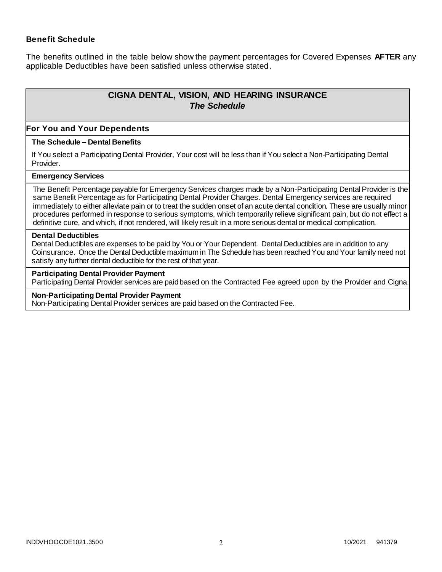### **Benefit Schedule**

The benefits outlined in the table below show the payment percentages for Covered Expenses **AFTER** any applicable Deductibles have been satisfied unless otherwise stated.

# **CIGNA DENTAL, VISION, AND HEARING INSURANCE** *The Schedule*

#### **For You and Your Dependents**

#### **The Schedule – Dental Benefits**

If You select a Participating Dental Provider, Your cost will be less than if You select a Non-Participating Dental Provider.

#### **Emergency Services**

The Benefit Percentage payable for Emergency Services charges made by a Non-Participating Dental Provider is the same Benefit Percentage as for Participating Dental Provider Charges. Dental Emergency services are required immediately to either alleviate pain or to treat the sudden onset of an acute dental condition. These are usually minor procedures performed in response to serious symptoms, which temporarily relieve significant pain, but do not effect a definitive cure, and which, if not rendered, will likely result in a more serious dental or medical complication.

#### **Dental Deductibles**

Dental Deductibles are expenses to be paid by You or Your Dependent. Dental Deductibles are in addition to any Coinsurance. Once the Dental Deductible maximum in The Schedule has been reached You and Your family need not satisfy any further dental deductible for the rest of that year.

#### **Participating Dental Provider Payment**

Participating Dental Provider services are paid based on the Contracted Fee agreed upon by the Provider and Cigna.

#### **Non-Participating Dental Provider Payment**

Non-Participating Dental Provider services are paid based on the Contracted Fee.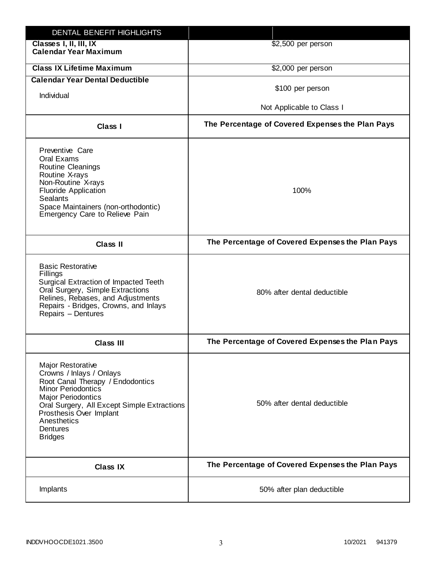| DENTAL BENEFIT HIGHLIGHTS                                                                                                                                                                                                                                                 |                                                  |
|---------------------------------------------------------------------------------------------------------------------------------------------------------------------------------------------------------------------------------------------------------------------------|--------------------------------------------------|
| Classes I, II, III, IX<br><b>Calendar Year Maximum</b>                                                                                                                                                                                                                    | \$2,500 per person                               |
| <b>Class IX Lifetime Maximum</b>                                                                                                                                                                                                                                          | \$2,000 per person                               |
| <b>Calendar Year Dental Deductible</b>                                                                                                                                                                                                                                    |                                                  |
| Individual                                                                                                                                                                                                                                                                | \$100 per person                                 |
|                                                                                                                                                                                                                                                                           | Not Applicable to Class I                        |
| <b>Class I</b>                                                                                                                                                                                                                                                            | The Percentage of Covered Expenses the Plan Pays |
| Preventive Care<br>Oral Exams<br>Routine Cleanings<br>Routine X-rays<br>Non-Routine X-rays<br><b>Fluoride Application</b><br><b>Sealants</b><br>Space Maintainers (non-orthodontic)<br>Emergency Care to Relieve Pain                                                     | 100%                                             |
| <b>Class II</b>                                                                                                                                                                                                                                                           | The Percentage of Covered Expenses the Plan Pays |
| <b>Basic Restorative</b><br>Fillings<br>Surgical Extraction of Impacted Teeth<br>Oral Surgery, Simple Extractions<br>Relines, Rebases, and Adjustments<br>Repairs - Bridges, Crowns, and Inlays<br>Repairs - Dentures                                                     | 80% after dental deductible                      |
| <b>Class III</b>                                                                                                                                                                                                                                                          | The Percentage of Covered Expenses the Plan Pays |
| <b>Major Restorative</b><br>Crowns / Inlays / Onlays<br>Root Canal Therapy / Endodontics<br><b>Minor Periodontics</b><br><b>Major Periodontics</b><br>Oral Surgery, All Except Simple Extractions<br>Prosthesis Over Implant<br>Anesthetics<br>Dentures<br><b>Bridges</b> | 50% after dental deductible                      |
| <b>Class IX</b>                                                                                                                                                                                                                                                           | The Percentage of Covered Expenses the Plan Pays |
| Implants                                                                                                                                                                                                                                                                  | 50% after plan deductible                        |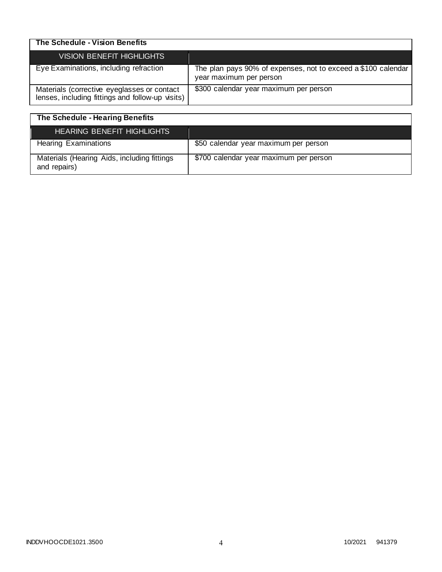| The Schedule - Vision Benefits                                                                  |                                                                                          |
|-------------------------------------------------------------------------------------------------|------------------------------------------------------------------------------------------|
| <b>VISION BENEFIT HIGHLIGHTS</b>                                                                |                                                                                          |
| Eye Examinations, including refraction                                                          | The plan pays 90% of expenses, not to exceed a \$100 calendar<br>year maximum per person |
| Materials (corrective eyeglasses or contact<br>lenses, including fittings and follow-up visits) | \$300 calendar year maximum per person                                                   |

| The Schedule - Hearing Benefits                             |                                        |
|-------------------------------------------------------------|----------------------------------------|
| <b>HEARING BENEFIT HIGHLIGHTS</b>                           |                                        |
| <b>Hearing Examinations</b>                                 | \$50 calendar year maximum per person  |
| Materials (Hearing Aids, including fittings<br>and repairs) | \$700 calendar year maximum per person |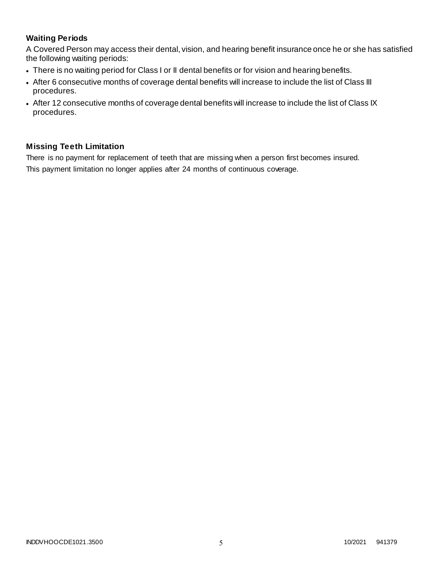### **Waiting Periods**

A Covered Person may access their dental, vision, and hearing benefit insurance once he or she has satisfied the following waiting periods:

- There is no waiting period for Class I or II dental benefits or for vision and hearing benefits.
- After 6 consecutive months of coverage dental benefits will increase to include the list of Class III procedures.
- After 12 consecutive months of coverage dental benefits will increase to include the list of Class IX procedures.

### **Missing Teeth Limitation**

There is no payment for replacement of teeth that are missing when a person first becomes insured. This payment limitation no longer applies after 24 months of continuous coverage.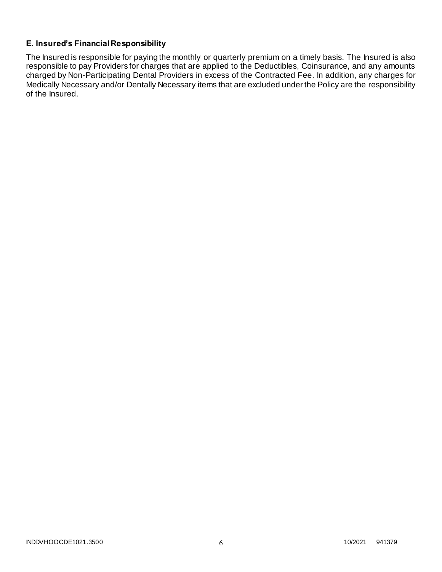### **E. Insured's Financial Responsibility**

The Insured is responsible for paying the monthly or quarterly premium on a timely basis. The Insured is also responsible to pay Providers for charges that are applied to the Deductibles, Coinsurance, and any amounts charged by Non-Participating Dental Providers in excess of the Contracted Fee. In addition, any charges for Medically Necessary and/or Dentally Necessary items that are excluded under the Policy are the responsibility of the Insured.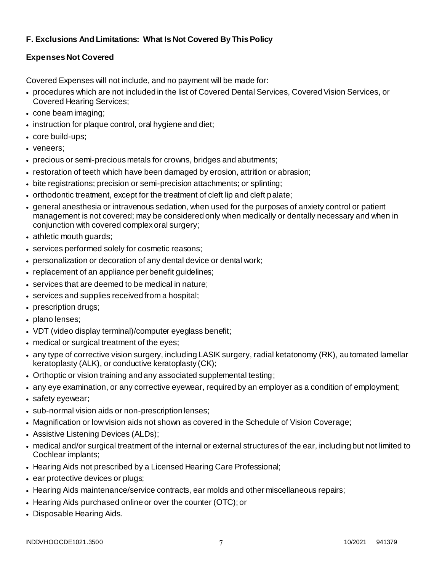# **F. Exclusions And Limitations: What Is Not Covered By This Policy**

# **Expenses Not Covered**

Covered Expenses will not include, and no payment will be made for:

- procedures which are not included in the list of Covered Dental Services, Covered Vision Services, or Covered Hearing Services;
- cone beam imaging;
- instruction for plaque control, oral hygiene and diet;
- core build-ups;
- veneers;
- precious or semi-precious metals for crowns, bridges and abutments;
- restoration of teeth which have been damaged by erosion, attrition or abrasion;
- bite registrations; precision or semi-precision attachments; or splinting;
- orthodontic treatment, except for the treatment of cleft lip and cleft palate;
- general anesthesia or intravenous sedation, when used for the purposes of anxiety control or patient management is not covered; may be considered only when medically or dentally necessary and when in conjunction with covered complex oral surgery;
- athletic mouth guards;
- services performed solely for cosmetic reasons;
- personalization or decoration of any dental device or dental work;
- replacement of an appliance per benefit guidelines;
- services that are deemed to be medical in nature;
- services and supplies received from a hospital;
- prescription drugs;
- plano lenses;
- VDT (video display terminal)/computer eyeglass benefit;
- medical or surgical treatment of the eyes;
- any type of corrective vision surgery, including LASIK surgery, radial ketatonomy (RK), automated lamellar keratoplasty (ALK), or conductive keratoplasty (CK);
- Orthoptic or vision training and any associated supplemental testing;
- any eye examination, or any corrective eyewear, required by an employer as a condition of employment;
- safety eyewear;
- sub-normal vision aids or non-prescription lenses;
- Magnification or low vision aids not shown as covered in the Schedule of Vision Coverage;
- Assistive Listening Devices (ALDs);
- medical and/or surgical treatment of the internal or external structures of the ear, including but not limited to Cochlear implants;
- Hearing Aids not prescribed by a Licensed Hearing Care Professional;
- ear protective devices or plugs;
- Hearing Aids maintenance/service contracts, ear molds and other miscellaneous repairs;
- Hearing Aids purchased online or over the counter (OTC); or
- Disposable Hearing Aids.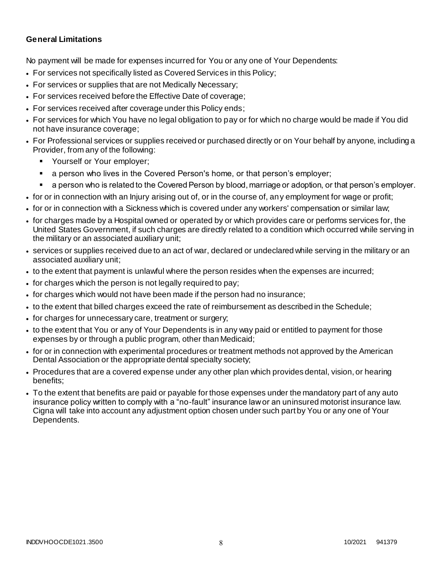### **General Limitations**

No payment will be made for expenses incurred for You or any one of Your Dependents:

- For services not specifically listed as Covered Services in this Policy;
- For services or supplies that are not Medically Necessary;
- For services received before the Effective Date of coverage;
- For services received after coverage under this Policy ends;
- For services for which You have no legal obligation to pay or for which no charge would be made if You did not have insurance coverage;
- For Professional services or supplies received or purchased directly or on Your behalf by anyone, including a Provider, from any of the following:
	- Yourself or Your employer;
	- a person who lives in the Covered Person's home, or that person's employer;
	- a person who is related to the Covered Person by blood, marriage or adoption, or that person's employer.
- for or in connection with an Injury arising out of, or in the course of, any employment for wage or profit;
- for or in connection with a Sickness which is covered under any workers' compensation or similar law;
- for charges made by a Hospital owned or operated by or which provides care or performs services for, the United States Government, if such charges are directly related to a condition which occurred while serving in the military or an associated auxiliary unit;
- services or supplies received due to an act of war, declared or undeclared while serving in the military or an associated auxiliary unit;
- to the extent that payment is unlawful where the person resides when the expenses are incurred;
- for charges which the person is not legally required to pay;
- for charges which would not have been made if the person had no insurance;
- to the extent that billed charges exceed the rate of reimbursement as described in the Schedule;
- for charges for unnecessary care, treatment or surgery;
- to the extent that You or any of Your Dependents is in any way paid or entitled to payment for those expenses by or through a public program, other than Medicaid;
- for or in connection with experimental procedures or treatment methods not approved by the American Dental Association or the appropriate dental specialty society;
- Procedures that are a covered expense under any other plan which provides dental, vision, or hearing benefits;
- To the extent that benefits are paid or payable for those expenses under the mandatory part of any auto insurance policy written to comply with a "no-fault" insurance law or an uninsured motorist insurance law. Cigna will take into account any adjustment option chosen under such part by You or any one of Your Dependents.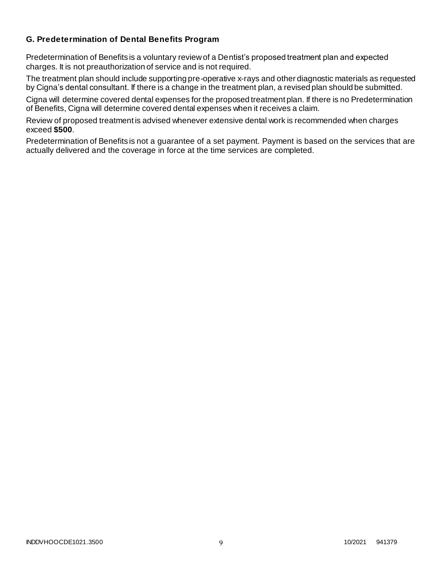### **G. Predetermination of Dental Benefits Program**

Predetermination of Benefits is a voluntary review of a Dentist's proposed treatment plan and expected charges. It is not preauthorization of service and is not required.

The treatment plan should include supporting pre-operative x-rays and other diagnostic materials as requested by Cigna's dental consultant. If there is a change in the treatment plan, a revised plan should be submitted.

Cigna will determine covered dental expenses for the proposed treatment plan. If there is no Predetermination of Benefits, Cigna will determine covered dental expenses when it receives a claim.

Review of proposed treatment is advised whenever extensive dental work is recommended when charges exceed **\$500**.

Predetermination of Benefits is not a guarantee of a set payment. Payment is based on the services that are actually delivered and the coverage in force at the time services are completed.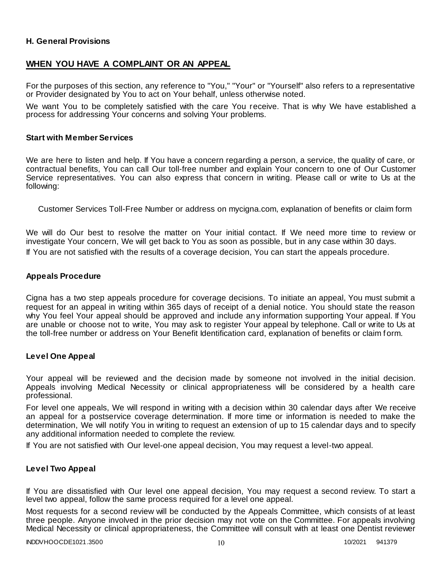### **H. General Provisions**

### **WHEN YOU HAVE A COMPLAINT OR AN APPEAL**

For the purposes of this section, any reference to "You," "Your" or "Yourself" also refers to a representative or Provider designated by You to act on Your behalf, unless otherwise noted.

We want You to be completely satisfied with the care You receive. That is why We have established a process for addressing Your concerns and solving Your problems.

#### **Start with Member Services**

We are here to listen and help. If You have a concern regarding a person, a service, the quality of care, or contractual benefits, You can call Our toll-free number and explain Your concern to one of Our Customer Service representatives. You can also express that concern in writing. Please call or write to Us at the following:

Customer Services Toll-Free Number or address on mycigna.com, explanation of benefits or claim form

We will do Our best to resolve the matter on Your initial contact. If We need more time to review or investigate Your concern, We will get back to You as soon as possible, but in any case within 30 days. If You are not satisfied with the results of a coverage decision, You can start the appeals procedure.

#### **Appeals Procedure**

Cigna has a two step appeals procedure for coverage decisions. To initiate an appeal, You must submit a request for an appeal in writing within 365 days of receipt of a denial notice. You should state the reason why You feel Your appeal should be approved and include any information supporting Your appeal. If You are unable or choose not to write, You may ask to register Your appeal by telephone. Call or write to Us at the toll-free number or address on Your Benefit Identification card, explanation of benefits or claim f orm.

#### **Level One Appeal**

Your appeal will be reviewed and the decision made by someone not involved in the initial decision. Appeals involving Medical Necessity or clinical appropriateness will be considered by a health care professional.

For level one appeals, We will respond in writing with a decision within 30 calendar days after We receive an appeal for a postservice coverage determination. If more time or information is needed to make the determination, We will notify You in writing to request an extension of up to 15 calendar days and to specify any additional information needed to complete the review.

If You are not satisfied with Our level-one appeal decision, You may request a level-two appeal.

#### **Level Two Appeal**

If You are dissatisfied with Our level one appeal decision, You may request a second review. To start a level two appeal, follow the same process required for a level one appeal.

Most requests for a second review will be conducted by the Appeals Committee, which consists of at least three people. Anyone involved in the prior decision may not vote on the Committee. For appeals involving Medical Necessity or clinical appropriateness, the Committee will consult with at least one Dentist reviewer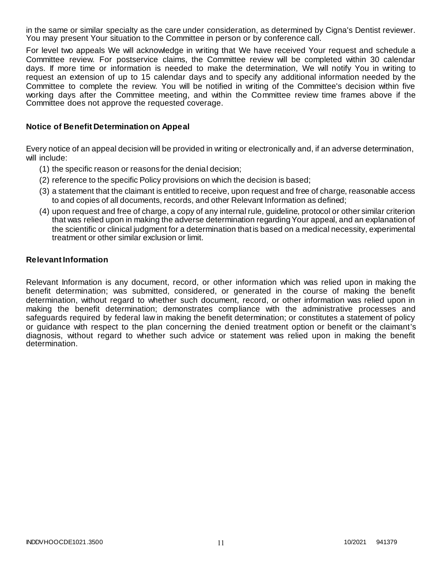in the same or similar specialty as the care under consideration, as determined by Cigna's Dentist reviewer. You may present Your situation to the Committee in person or by conference call.

For level two appeals We will acknowledge in writing that We have received Your request and schedule a Committee review. For postservice claims, the Committee review will be completed within 30 calendar days. If more time or information is needed to make the determination, We will notify You in writing to request an extension of up to 15 calendar days and to specify any additional information needed by the Committee to complete the review. You will be notified in writing of the Committee's decision within five working days after the Committee meeting, and within the Committee review time frames above if the Committee does not approve the requested coverage.

#### **Notice of Benefit Determination on Appeal**

Every notice of an appeal decision will be provided in writing or electronically and, if an adverse determination, will include:

- (1) the specific reason or reasons for the denial decision;
- (2) reference to the specific Policy provisions on which the decision is based;
- (3) a statement that the claimant is entitled to receive, upon request and free of charge, reasonable access to and copies of all documents, records, and other Relevant Information as defined;
- (4) upon request and free of charge, a copy of any internal rule, guideline, protocol or other similar criterion that was relied upon in making the adverse determination regarding Your appeal, and an explanation of the scientific or clinical judgment for a determination that is based on a medical necessity, experimental treatment or other similar exclusion or limit.

#### **Relevant Information**

Relevant Information is any document, record, or other information which was relied upon in making the benefit determination; was submitted, considered, or generated in the course of making the benefit determination, without regard to whether such document, record, or other information was relied upon in making the benefit determination; demonstrates compliance with the administrative processes and safeguards required by federal law in making the benefit determination; or constitutes a statement of policy or guidance with respect to the plan concerning the denied treatment option or benefit or the claimant's diagnosis, without regard to whether such advice or statement was relied upon in making the benefit determination.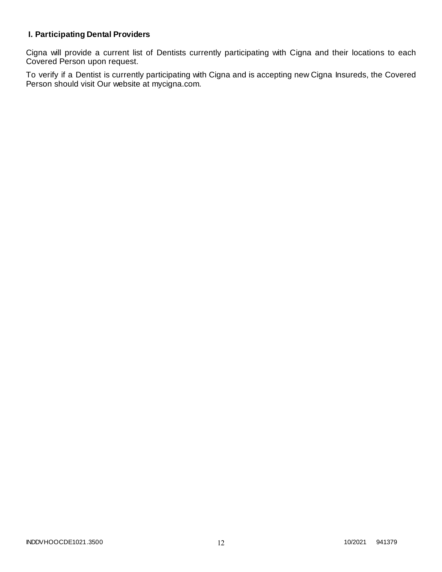# **I. Participating Dental Providers**

Cigna will provide a current list of Dentists currently participating with Cigna and their locations to each Covered Person upon request.

To verify if a Dentist is currently participating with Cigna and is accepting new Cigna Insureds, the Covered Person should visit Our website at mycigna.com.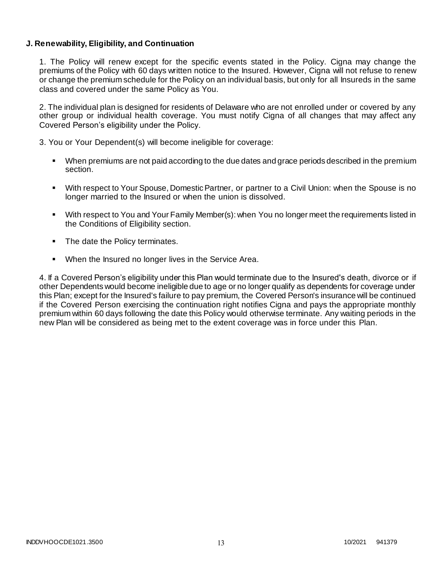### **J. Renewability, Eligibility, and Continuation**

1. The Policy will renew except for the specific events stated in the Policy. Cigna may change the premiums of the Policy with 60 days written notice to the Insured. However, Cigna will not refuse to renew or change the premium schedule for the Policy on an individual basis, but only for all Insureds in the same class and covered under the same Policy as You.

2. The individual plan is designed for residents of Delaware who are not enrolled under or covered by any other group or individual health coverage. You must notify Cigna of all changes that may affect any Covered Person's eligibility under the Policy.

3. You or Your Dependent(s) will become ineligible for coverage:

- When premiums are not paid according to the due dates and grace periods described in the premium section.
- With respect to Your Spouse, Domestic Partner, or partner to a Civil Union: when the Spouse is no longer married to the Insured or when the union is dissolved.
- With respect to You and Your Family Member(s): when You no longer meet the requirements listed in the Conditions of Eligibility section.
- The date the Policy terminates.
- When the Insured no longer lives in the Service Area.

4. If a Covered Person's eligibility under this Plan would terminate due to the Insured's death, divorce or if other Dependents would become ineligible due to age or no longer qualify as dependents for coverage under this Plan; except for the Insured's failure to pay premium, the Covered Person's insurance will be continued if the Covered Person exercising the continuation right notifies Cigna and pays the appropriate monthly premium within 60 days following the date this Policy would otherwise terminate. Any waiting periods in the new Plan will be considered as being met to the extent coverage was in force under this Plan.